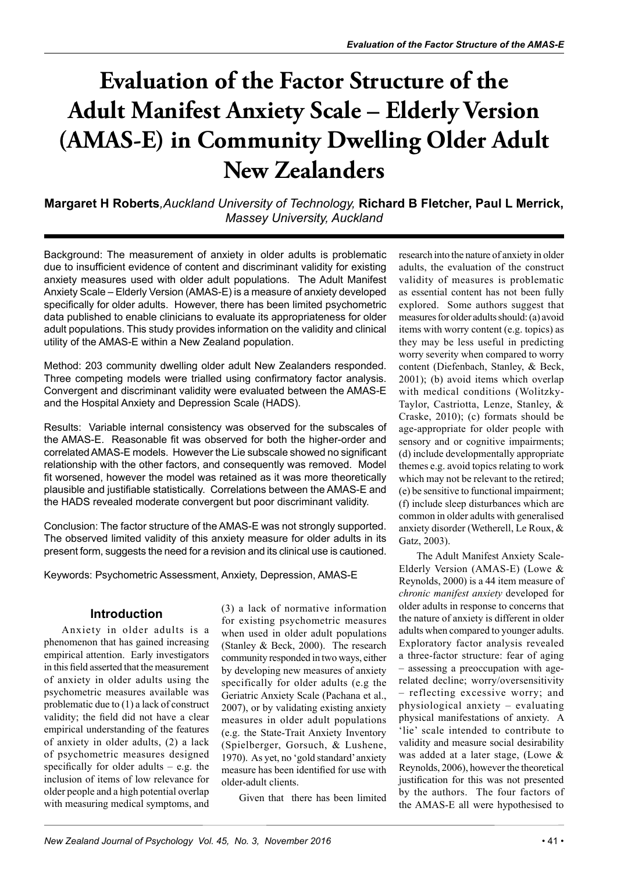## **Evaluation of the Factor Structure of the Adult Manifest Anxiety Scale – Elderly Version (AMAS-E) in Community Dwelling Older Adult New Zealanders**

**Margaret H Roberts***,Auckland University of Technology,* **Richard B Fletcher, Paul L Merrick,** *Massey University, Auckland*

Background: The measurement of anxiety in older adults is problematic due to insufficient evidence of content and discriminant validity for existing anxiety measures used with older adult populations. The Adult Manifest Anxiety Scale – Elderly Version (AMAS-E) is a measure of anxiety developed specifically for older adults. However, there has been limited psychometric data published to enable clinicians to evaluate its appropriateness for older adult populations. This study provides information on the validity and clinical utility of the AMAS-E within a New Zealand population.

Method: 203 community dwelling older adult New Zealanders responded. Three competing models were trialled using confirmatory factor analysis. Convergent and discriminant validity were evaluated between the AMAS-E and the Hospital Anxiety and Depression Scale (HADS).

Results: Variable internal consistency was observed for the subscales of the AMAS-E. Reasonable fit was observed for both the higher-order and correlated AMAS-E models. However the Lie subscale showed no significant relationship with the other factors, and consequently was removed. Model fit worsened, however the model was retained as it was more theoretically plausible and justifiable statistically. Correlations between the AMAS-E and the HADS revealed moderate convergent but poor discriminant validity.

Conclusion: The factor structure of the AMAS-E was not strongly supported. The observed limited validity of this anxiety measure for older adults in its present form, suggests the need for a revision and its clinical use is cautioned.

Keywords: Psychometric Assessment, Anxiety, Depression, AMAS-E

#### **Introduction**

Anxiety in older adults is a phenomenon that has gained increasing empirical attention. Early investigators in this field asserted that the measurement of anxiety in older adults using the psychometric measures available was problematic due to (1) a lack of construct validity; the field did not have a clear empirical understanding of the features of anxiety in older adults, (2) a lack of psychometric measures designed specifically for older adults – e.g. the inclusion of items of low relevance for older people and a high potential overlap with measuring medical symptoms, and (3) a lack of normative information for existing psychometric measures when used in older adult populations (Stanley & Beck, 2000). The research community responded in two ways, either by developing new measures of anxiety specifically for older adults (e.g the Geriatric Anxiety Scale (Pachana et al., 2007), or by validating existing anxiety measures in older adult populations (e.g. the State-Trait Anxiety Inventory (Spielberger, Gorsuch, & Lushene, 1970). As yet, no 'gold standard' anxiety measure has been identified for use with older-adult clients.

Given that there has been limited

research into the nature of anxiety in older adults, the evaluation of the construct validity of measures is problematic as essential content has not been fully explored. Some authors suggest that measures for older adults should: (a) avoid items with worry content (e.g. topics) as they may be less useful in predicting worry severity when compared to worry content (Diefenbach, Stanley, & Beck, 2001); (b) avoid items which overlap with medical conditions (Wolitzky-Taylor, Castriotta, Lenze, Stanley, & Craske, 2010); (c) formats should be age-appropriate for older people with sensory and or cognitive impairments; (d) include developmentally appropriate themes e.g. avoid topics relating to work which may not be relevant to the retired; (e) be sensitive to functional impairment; (f) include sleep disturbances which are common in older adults with generalised anxiety disorder (Wetherell, Le Roux, & Gatz, 2003).

The Adult Manifest Anxiety Scale-Elderly Version (AMAS-E) (Lowe & Reynolds, 2000) is a 44 item measure of *chronic manifest anxiety* developed for older adults in response to concerns that the nature of anxiety is different in older adults when compared to younger adults. Exploratory factor analysis revealed a three-factor structure: fear of aging – assessing a preoccupation with agerelated decline; worry/oversensitivity – reflecting excessive worry; and physiological anxiety – evaluating physical manifestations of anxiety. A 'lie' scale intended to contribute to validity and measure social desirability was added at a later stage, (Lowe & Reynolds, 2006), however the theoretical justification for this was not presented by the authors. The four factors of the AMAS-E all were hypothesised to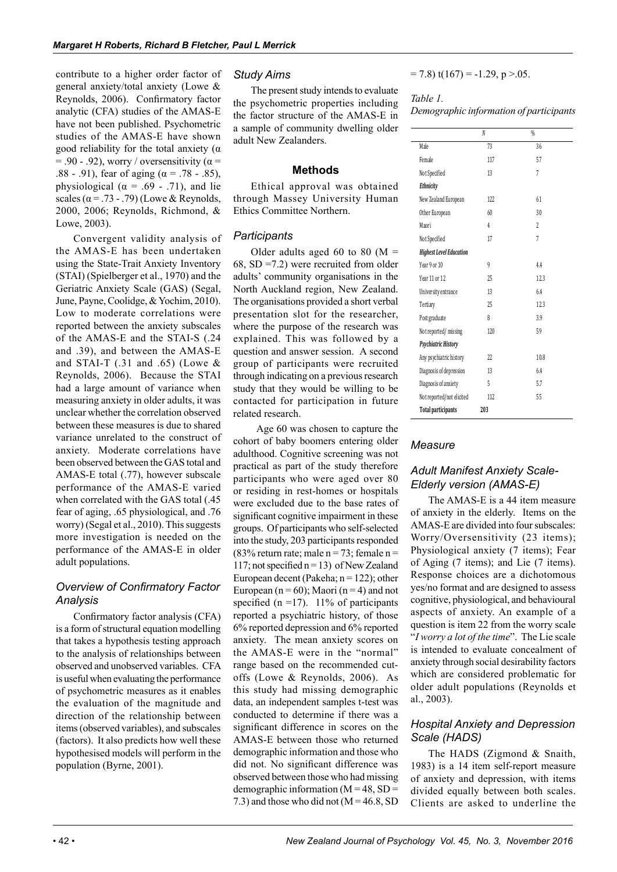contribute to a higher order factor of general anxiety/total anxiety (Lowe & Reynolds, 2006). Confirmatory factor analytic (CFA) studies of the AMAS-E have not been published. Psychometric studies of the AMAS-E have shown good reliability for the total anxiety  $(\alpha)$  $= .90 - .92$ ), worry / oversensitivity ( $\alpha =$ .88 - .91), fear of aging ( $\alpha$  = .78 - .85), physiological ( $\alpha$  = .69 - .71), and lie scales ( $\alpha$  = .73 - .79) (Lowe & Reynolds, 2000, 2006; Reynolds, Richmond, & Lowe, 2003).

Convergent validity analysis of the AMAS-E has been undertaken using the State-Trait Anxiety Inventory (STAI) (Spielberger et al., 1970) and the Geriatric Anxiety Scale (GAS) (Segal, June, Payne, Coolidge, & Yochim, 2010). Low to moderate correlations were reported between the anxiety subscales of the AMAS-E and the STAI-S (.24 and .39), and between the AMAS-E and STAI-T  $(.31$  and  $.65)$  (Lowe & Reynolds, 2006). Because the STAI had a large amount of variance when measuring anxiety in older adults, it was unclear whether the correlation observed between these measures is due to shared variance unrelated to the construct of anxiety. Moderate correlations have been observed between the GAS total and AMAS-E total (.77), however subscale performance of the AMAS-E varied when correlated with the GAS total (.45 fear of aging, .65 physiological, and .76 worry) (Segal et al., 2010). This suggests more investigation is needed on the performance of the AMAS-E in older adult populations.

#### *Overview of Confirmatory Factor Analysis*

Confirmatory factor analysis (CFA) is a form of structural equation modelling that takes a hypothesis testing approach to the analysis of relationships between observed and unobserved variables. CFA is useful when evaluating the performance of psychometric measures as it enables the evaluation of the magnitude and direction of the relationship between items (observed variables), and subscales (factors). It also predicts how well these hypothesised models will perform in the population (Byrne, 2001).

#### *Study Aims*

The present study intends to evaluate the psychometric properties including the factor structure of the AMAS-E in a sample of community dwelling older adult New Zealanders.

#### **Methods**

Ethical approval was obtained through Massey University Human Ethics Committee Northern.

#### *Participants*

Older adults aged 60 to 80 ( $M =$ 68, SD =7.2) were recruited from older adults' community organisations in the North Auckland region, New Zealand. The organisations provided a short verbal presentation slot for the researcher, where the purpose of the research was explained. This was followed by a question and answer session. A second group of participants were recruited through indicating on a previous research study that they would be willing to be contacted for participation in future related research.

 Age 60 was chosen to capture the cohort of baby boomers entering older adulthood. Cognitive screening was not practical as part of the study therefore participants who were aged over 80 or residing in rest-homes or hospitals were excluded due to the base rates of significant cognitive impairment in these groups. Of participants who self-selected into the study, 203 participants responded (83% return rate; male  $n = 73$ ; female  $n =$ 117; not specified n = 13) of New Zealand European decent (Pakeha;  $n = 122$ ); other European ( $n = 60$ ); Maori ( $n = 4$ ) and not specified ( $n = 17$ ). 11% of participants reported a psychiatric history, of those 6% reported depression and 6% reported anxiety. The mean anxiety scores on the AMAS-E were in the "normal" range based on the recommended cutoffs (Lowe & Reynolds, 2006). As this study had missing demographic data, an independent samples t-test was conducted to determine if there was a significant difference in scores on the AMAS-E between those who returned demographic information and those who did not. No significant difference was observed between those who had missing demographic information  $(M = 48, SD =$ 7.3) and those who did not  $(M = 46.8, SD)$   $= 7.8$ ) t(167) = -1.29, p >.05.

#### *Table 1. Demographic information of participants*

|                                | N   | %                         |
|--------------------------------|-----|---------------------------|
| Male                           | 73  | 36                        |
| Female                         | 117 | 57                        |
| Not Specified                  | 13  | 7                         |
| Ethnicity                      |     |                           |
| New Zealand European           | 122 | 61                        |
| Other European                 | 60  | 30                        |
| Maori                          | 4   | $\overline{\mathfrak{c}}$ |
| Not Specified                  | 17  | 7                         |
| <b>Highest Level Education</b> |     |                           |
| Year 9 or 10                   | 9   | 44                        |
| Year 11 or 12                  | 25  | 12.3                      |
| University entrance            | 13  | 64                        |
| Tertiary                       | 25  | 12.3                      |
| Post graduate                  | 8   | 3.9                       |
| Not reported/missing           | 120 | 59                        |
| Psychiatric History            |     |                           |
| Any psychiatric history        | 22  | 10.8                      |
| Diagnosis of depression        | 13  | 6.4                       |
| Diagnosis of anxiety           | 5   | 5.7                       |
| Not reported/not elicited      | 112 | 55                        |
| <b>Total participants</b>      | 203 |                           |

#### *Measure*

#### *Adult Manifest Anxiety Scale-Elderly version (AMAS-E)*

The AMAS-E is a 44 item measure of anxiety in the elderly. Items on the AMAS-E are divided into four subscales: Worry/Oversensitivity (23 items); Physiological anxiety (7 items); Fear of Aging (7 items); and Lie (7 items). Response choices are a dichotomous yes/no format and are designed to assess cognitive, physiological, and behavioural aspects of anxiety. An example of a question is item 22 from the worry scale "*I worry a lot of the time*". The Lie scale is intended to evaluate concealment of anxiety through social desirability factors which are considered problematic for older adult populations (Reynolds et al., 2003).

#### *Hospital Anxiety and Depression Scale (HADS)*

The HADS (Zigmond & Snaith, 1983) is a 14 item self-report measure of anxiety and depression, with items divided equally between both scales. Clients are asked to underline the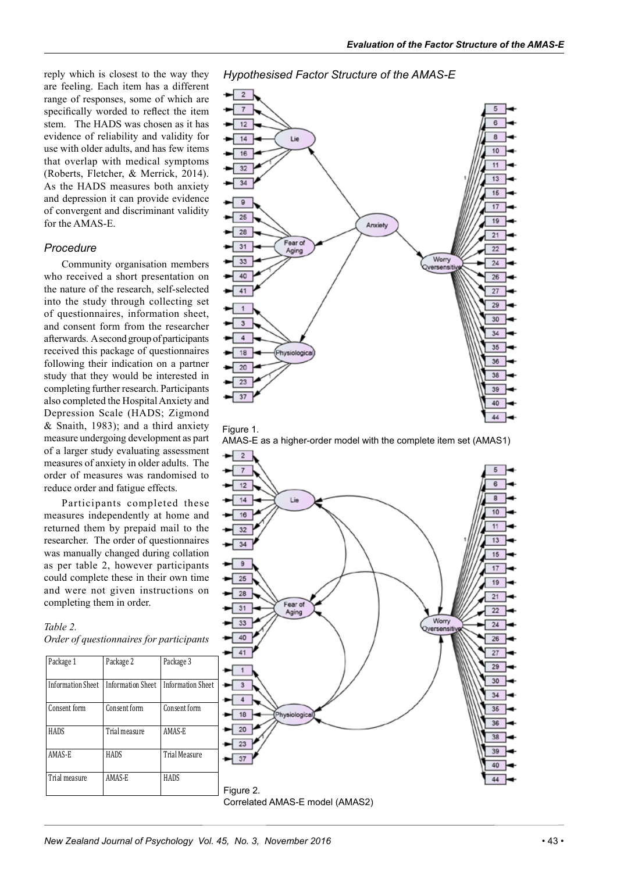reply which is closest to the way they are feeling. Each item has a different range of responses, some of which are specifically worded to reflect the item stem. The HADS was chosen as it has evidence of reliability and validity for use with older adults, and has few items that overlap with medical symptoms (Roberts, Fletcher, & Merrick, 2014). As the HADS measures both anxiety and depression it can provide evidence of convergent and discriminant validity for the AMAS-E.

#### *Procedure*

Community organisation members who received a short presentation on the nature of the research, self-selected into the study through collecting set of questionnaires, information sheet, and consent form from the researcher afterwards. A second group of participants received this package of questionnaires following their indication on a partner study that they would be interested in completing further research. Participants also completed the Hospital Anxiety and Depression Scale (HADS; Zigmond & Snaith, 1983); and a third anxiety measure undergoing development as part of a larger study evaluating assessment measures of anxiety in older adults. The order of measures was randomised to reduce order and fatigue effects.

Participants completed these measures independently at home and returned them by prepaid mail to the researcher. The order of questionnaires was manually changed during collation as per table 2, however participants could complete these in their own time and were not given instructions on completing them in order.

#### *Table 2. Order of questionnaires for participants*

| Package 1                | Package 2                | Package 3                |
|--------------------------|--------------------------|--------------------------|
| <b>Information Sheet</b> | <b>Information Sheet</b> | <b>Information Sheet</b> |
| Consent form             | Consent form             | Consent form             |
| <b>HADS</b>              | Trial measure            | AMAS-E                   |
| AMAS-E                   | HADS                     | <b>Trial Measure</b>     |
| Trial measure            | AMAS-E                   | HADS                     |

*Hypothesised Factor Structure of the AMAS-E*







Correlated AMAS-E model (AMAS2)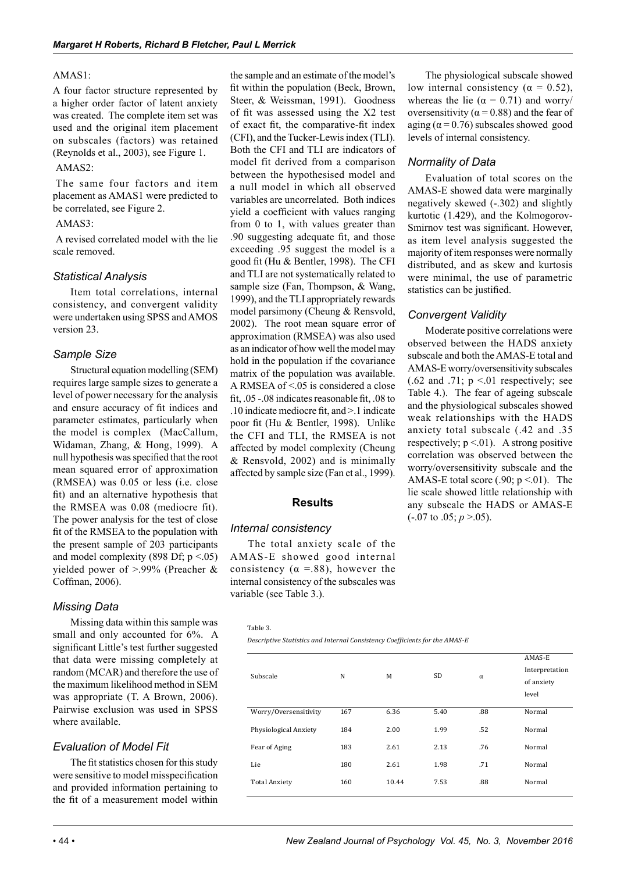#### AMAS1:

A four factor structure represented by a higher order factor of latent anxiety was created. The complete item set was used and the original item placement on subscales (factors) was retained (Reynolds et al., 2003), see Figure 1.

#### AMAS2:

The same four factors and item placement as AMAS1 were predicted to be correlated, see Figure 2.

#### AMAS3:

A revised correlated model with the lie scale removed.

#### *Statistical Analysis*

Item total correlations, internal consistency, and convergent validity were undertaken using SPSS and AMOS version 23.

#### *Sample Size*

Structural equation modelling (SEM) requires large sample sizes to generate a level of power necessary for the analysis and ensure accuracy of fit indices and parameter estimates, particularly when the model is complex (MacCallum, Widaman, Zhang, & Hong, 1999). A null hypothesis was specified that the root mean squared error of approximation (RMSEA) was 0.05 or less (i.e. close fit) and an alternative hypothesis that the RMSEA was 0.08 (mediocre fit). The power analysis for the test of close fit of the RMSEA to the population with the present sample of 203 participants and model complexity (898 Df;  $p < .05$ ) yielded power of >.99% (Preacher & Coffman, 2006).

#### *Missing Data*

Missing data within this sample was small and only accounted for 6%. A significant Little's test further suggested that data were missing completely at random (MCAR) and therefore the use of the maximum likelihood method in SEM was appropriate (T. A Brown, 2006). Pairwise exclusion was used in SPSS where available.

#### *Evaluation of Model Fit*

The fit statistics chosen for this study were sensitive to model misspecification and provided information pertaining to the fit of a measurement model within

the sample and an estimate of the model's fit within the population (Beck, Brown, Steer, & Weissman, 1991). Goodness of fit was assessed using the X2 test of exact fit, the comparative-fit index (CFI), and the Tucker-Lewis index (TLI). Both the CFI and TLI are indicators of model fit derived from a comparison between the hypothesised model and a null model in which all observed variables are uncorrelated. Both indices yield a coefficient with values ranging from 0 to 1, with values greater than .90 suggesting adequate fit, and those exceeding .95 suggest the model is a good fit (Hu & Bentler, 1998). The CFI and TLI are not systematically related to sample size (Fan, Thompson, & Wang, 1999), and the TLI appropriately rewards model parsimony (Cheung & Rensvold, 2002). The root mean square error of approximation (RMSEA) was also used as an indicator of how well the model may hold in the population if the covariance matrix of the population was available. A RMSEA of  $\leq$  05 is considered a close fit, .05 -.08 indicates reasonable fit, .08 to .10 indicate mediocre fit, and >.1 indicate poor fit (Hu & Bentler, 1998). Unlike the CFI and TLI, the RMSEA is not affected by model complexity (Cheung & Rensvold, 2002) and is minimally affected by sample size (Fan et al., 1999).

#### **Results**

#### *Internal consistency*

The total anxiety scale of the AMAS-E showed good internal consistency ( $\alpha$  =.88), however the internal consistency of the subscales was variable (see Table 3.).

Table 3.

*Descriptive Statistics and Internal Consistency Coefficients for the AMAS-E*

| The physiological subscale showed                  |
|----------------------------------------------------|
| low internal consistency ( $\alpha = 0.52$ ),      |
| whereas the lie ( $\alpha = 0.71$ ) and worry/     |
| oversensitivity ( $\alpha$ = 0.88) and the fear of |
| aging ( $\alpha$ = 0.76) subscales showed good     |
| levels of internal consistency.                    |

#### *Normality of Data*

Evaluation of total scores on the AMAS-E showed data were marginally negatively skewed (-.302) and slightly kurtotic (1.429), and the Kolmogorov-Smirnov test was significant. However, as item level analysis suggested the majority of item responses were normally distributed, and as skew and kurtosis were minimal, the use of parametric statistics can be justified.

#### *Convergent Validity*

Moderate positive correlations were observed between the HADS anxiety subscale and both the AMAS-E total and AMAS-E worry/oversensitivity subscales  $(.62$  and  $.71$ ; p  $\leq 01$  respectively; see Table 4.). The fear of ageing subscale and the physiological subscales showed weak relationships with the HADS anxiety total subscale (.42 and .35 respectively;  $p \le 01$ ). A strong positive correlation was observed between the worry/oversensitivity subscale and the AMAS-E total score (.90;  $p \le 01$ ). The lie scale showed little relationship with any subscale the HADS or AMAS-E  $(-.07 \text{ to } .05; p > 0.05)$ .

|                       |     |       |      |          | AMAS-E         |
|-----------------------|-----|-------|------|----------|----------------|
| Subscale              | N   | M     | SD   | $\alpha$ | Interpretation |
|                       |     |       |      |          | of anxiety     |
|                       |     |       |      |          | level          |
| Worry/Oversensitivity | 167 | 6.36  | 5.40 | .88      | Normal         |
| Physiological Anxiety | 184 | 2.00  | 1.99 | .52      | Normal         |
| Fear of Aging         | 183 | 2.61  | 2.13 | .76      | Normal         |
| Lie                   | 180 | 2.61  | 1.98 | .71      | Normal         |
| <b>Total Anxiety</b>  | 160 | 10.44 | 7.53 | .88      | Normal         |
|                       |     |       |      |          |                |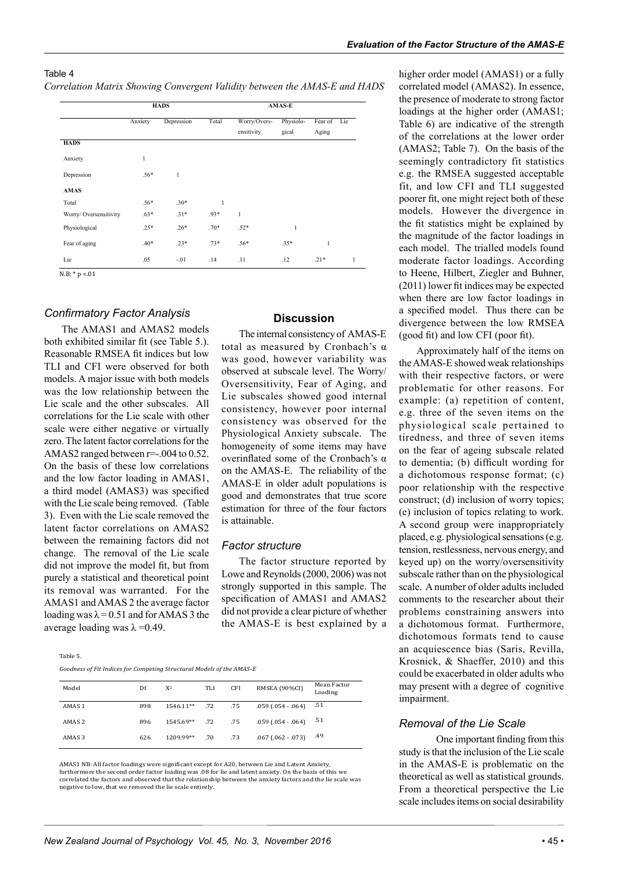#### Table 4 *Correlation Matrix Showing Convergent Validity between the AMAS-E and HADS*

|                        |              | <b>HADS</b> |              | <b>AMAS-E</b>              |                    |                  |     |
|------------------------|--------------|-------------|--------------|----------------------------|--------------------|------------------|-----|
|                        | Anxiety      | Depression  | Total        | Worry/Overs-<br>ensitivity | Physiolo-<br>gical | Fear of<br>Aging | Lie |
| <b>HADS</b>            |              |             |              |                            |                    |                  |     |
| Anxiety                | $\mathbf{1}$ |             |              |                            |                    |                  |     |
| Depression             | $.56*$       | 1           |              |                            |                    |                  |     |
| <b>AMAS</b>            |              |             |              |                            |                    |                  |     |
| Total                  | $.56*$       | $.30*$      | $\mathbf{1}$ |                            |                    |                  |     |
| Worry/ Oversensitivity | $.63*$       | $.31*$      | $.93*$       | $\mathbf{1}$               |                    |                  |     |
| Physiological          | $.25*$       | $.26*$      | $.70*$       | $.52*$                     | 1                  |                  |     |
| Fear of aging          | $.40*$       | $.23*$      | $.73*$       | $.56*$                     | $.35*$             | $\mathbf{1}$     |     |
| Lie                    | .05          | $-.01$      | .14          | .11                        | .12                | $.21*$           | 1   |
| $N.B: * p < 01$        |              |             |              |                            |                    |                  |     |

*Confirmatory Factor Analysis*

The AMAS1 and AMAS2 models both exhibited similar fit (see Table 5.). Reasonable RMSEA fit indices but low TLI and CFI were observed for both models. A major issue with both models was the low relationship between the Lie scale and the other subscales. All correlations for the Lie scale with other scale were either negative or virtually zero. The latent factor correlations for the AMAS2 ranged between r=-.004 to 0.52. On the basis of these low correlations and the low factor loading in AMAS1, a third model (AMAS3) was specified with the Lie scale being removed. (Table 3). Even with the Lie scale removed the latent factor correlations on AMAS2 between the remaining factors did not change. The removal of the Lie scale did not improve the model fit, but from purely a statistical and theoretical point its removal was warranted. For the AMAS1 and AMAS 2 the average factor loading was  $\lambda = 0.51$  and for AMAS 3 the average loading was  $λ = 0.49$ .

The internal consistency of AMAS-E total as measured by Cronbach's α was good, however variability was observed at subscale level. The Worry/ Oversensitivity, Fear of Aging, and Lie subscales showed good internal consistency, however poor internal consistency was observed for the Physiological Anxiety subscale. The homogeneity of some items may have overinflated some of the Cronbach's α on the AMAS-E. The reliability of the AMAS-E in older adult populations is good and demonstrates that true score estimation for three of the four factors is attainable.

#### *Factor structure*

The factor structure reported by Lowe and Reynolds (2000, 2006) was not strongly supported in this sample. The specification of AMAS1 and AMAS2 did not provide a clear picture of whether the AMAS-E is best explained by a

Table 5.

*Goodness of Fit Indices for Competing Structural Models of the AMAS-E*

| Model             | Df  | $X^2$            | TLI | <b>CFI</b> | RMSEA (90%CI)              | Mean Factor<br>Loading |
|-------------------|-----|------------------|-----|------------|----------------------------|------------------------|
| AMAS <sub>1</sub> | 898 | $1546.11***$ .72 |     | .75        | $.059$ $(.054 - .064)$     | .51                    |
| AMAS <sub>2</sub> | 896 | 1545.69**        | .72 | .75        | $.059$ (.054 - .064) $.51$ |                        |
| AMAS <sub>3</sub> | 626 | 1209.99**        | .70 | .73        | $.067$ $(.062 - .073)$     | .49                    |

AMAS1 NB: All factor loadings were significant except for A20, between Lie and Latent Anxiety, furthermore the second order factor loading was .08 for lie and latent anxiety. On the basis of this we correlated the factors and observed that the relationship between the anxiety factors and the lie scale was negative to low, that we removed the lie scale entirely.

higher order model (AMAS1) or a fully correlated model (AMAS2). In essence, the presence of moderate to strong factor loadings at the higher order (AMAS1; Table 6) are indicative of the strength of the correlations at the lower order (AMAS2; Table 7). On the basis of the seemingly contradictory fit statistics e.g. the RMSEA suggested acceptable fit, and low CFI and TLI suggested poorer fit, one might reject both of these models. However the divergence in the fit statistics might be explained by the magnitude of the factor loadings in each model. The trialled models found moderate factor loadings. According to Heene, Hilbert, Ziegler and Buhner, (2011) lower fit indices may be expected when there are low factor loadings in a specified model. Thus there can be divergence between the low RMSEA (good fit) and low CFI (poor fit).

Approximately half of the items on the AMAS-E showed weak relationships with their respective factors, or were problematic for other reasons. For example: (a) repetition of content, e.g. three of the seven items on the physiological scale pertained to tiredness, and three of seven items on the fear of ageing subscale related to dementia; (b) difficult wording for a dichotomous response format; (c) poor relationship with the respective construct; (d) inclusion of worry topics; (e) inclusion of topics relating to work. A second group were inappropriately placed, e.g. physiological sensations (e.g. tension, restlessness, nervous energy, and keyed up) on the worry/oversensitivity subscale rather than on the physiological scale. A number of older adults included comments to the researcher about their problems constraining answers into a dichotomous format. Furthermore, dichotomous formats tend to cause an acquiescence bias (Saris, Revilla, Krosnick, & Shaeffer, 2010) and this could be exacerbated in older adults who may present with a degree of cognitive impairment.

#### *Removal of the Lie Scale*

One important finding from this study is that the inclusion of the Lie scale in the AMAS-E is problematic on the theoretical as well as statistical grounds. From a theoretical perspective the Lie scale includes items on social desirability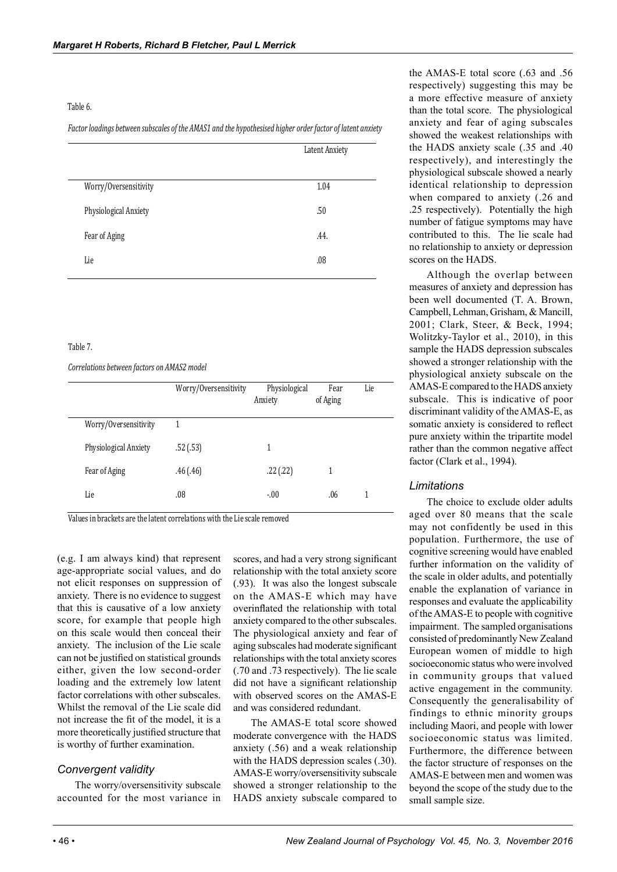#### Table 6.

*Factor loadings between subscales of the AMAS1 and the hypothesised higher order factor of latent anxiety*

|                       | Latent Anxiety |  |  |
|-----------------------|----------------|--|--|
| Worry/Oversensitivity | 1.04           |  |  |
| Physiological Anxiety | .50            |  |  |
| Fear of Aging         | .44.           |  |  |
| Lie                   | .08            |  |  |

#### Table 7.

*Correlations between factors on AMAS2 model*

|                       | Worry/Oversensitivity | Physiological<br>Anxiety | Fear<br>of Aging | Lie |  |
|-----------------------|-----------------------|--------------------------|------------------|-----|--|
| Worry/Oversensitivity |                       |                          |                  |     |  |
| Physiological Anxiety | .52(.53)              | 1                        |                  |     |  |
| Fear of Aging         | .46(.46)              | .22(.22)                 | 1                |     |  |
| Lie                   | .08                   | $-0.00$                  | .06              |     |  |

Values in brackets are the latent correlations with the Lie scale removed

(e.g. I am always kind) that represent age-appropriate social values, and do not elicit responses on suppression of anxiety. There is no evidence to suggest that this is causative of a low anxiety score, for example that people high on this scale would then conceal their anxiety. The inclusion of the Lie scale can not be justified on statistical grounds either, given the low second-order loading and the extremely low latent factor correlations with other subscales. Whilst the removal of the Lie scale did not increase the fit of the model, it is a more theoretically justified structure that is worthy of further examination.

#### *Convergent validity*

The worry/oversensitivity subscale accounted for the most variance in scores, and had a very strong significant relationship with the total anxiety score (.93). It was also the longest subscale on the AMAS-E which may have overinflated the relationship with total anxiety compared to the other subscales. The physiological anxiety and fear of aging subscales had moderate significant relationships with the total anxiety scores (.70 and .73 respectively). The lie scale did not have a significant relationship with observed scores on the AMAS-E and was considered redundant.

The AMAS-E total score showed moderate convergence with the HADS anxiety (.56) and a weak relationship with the HADS depression scales (.30). AMAS-E worry/oversensitivity subscale showed a stronger relationship to the HADS anxiety subscale compared to

the AMAS-E total score (.63 and .56 respectively) suggesting this may be a more effective measure of anxiety than the total score. The physiological anxiety and fear of aging subscales showed the weakest relationships with the HADS anxiety scale (.35 and .40 respectively), and interestingly the physiological subscale showed a nearly identical relationship to depression when compared to anxiety (.26 and .25 respectively). Potentially the high number of fatigue symptoms may have contributed to this. The lie scale had no relationship to anxiety or depression scores on the HADS.

Although the overlap between measures of anxiety and depression has been well documented (T. A. Brown, Campbell, Lehman, Grisham, & Mancill, 2001; Clark, Steer, & Beck, 1994; Wolitzky-Taylor et al., 2010), in this sample the HADS depression subscales showed a stronger relationship with the physiological anxiety subscale on the AMAS-E compared to the HADS anxiety subscale. This is indicative of poor discriminant validity of the AMAS-E, as somatic anxiety is considered to reflect pure anxiety within the tripartite model rather than the common negative affect factor (Clark et al., 1994).

#### *Limitations*

The choice to exclude older adults aged over 80 means that the scale may not confidently be used in this population. Furthermore, the use of cognitive screening would have enabled further information on the validity of the scale in older adults, and potentially enable the explanation of variance in responses and evaluate the applicability of the AMAS-E to people with cognitive impairment. The sampled organisations consisted of predominantly New Zealand European women of middle to high socioeconomic status who were involved in community groups that valued active engagement in the community. Consequently the generalisability of findings to ethnic minority groups including Maori, and people with lower socioeconomic status was limited. Furthermore, the difference between the factor structure of responses on the AMAS-E between men and women was beyond the scope of the study due to the small sample size.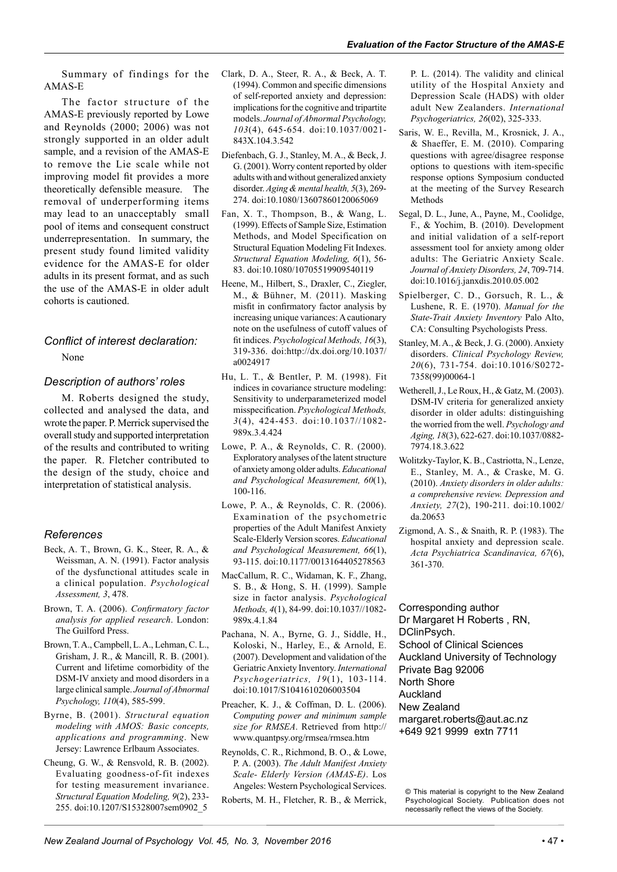Summary of findings for the AMAS-E

The factor structure of the AMAS-E previously reported by Lowe and Reynolds (2000; 2006) was not strongly supported in an older adult sample, and a revision of the AMAS-E to remove the Lie scale while not improving model fit provides a more theoretically defensible measure. The removal of underperforming items may lead to an unacceptably small pool of items and consequent construct underrepresentation. In summary, the present study found limited validity evidence for the AMAS-E for older adults in its present format, and as such the use of the AMAS-E in older adult cohorts is cautioned.

### *Conflict of interest declaration:*

#### None

#### *Description of authors' roles*

M. Roberts designed the study, collected and analysed the data, and wrote the paper. P. Merrick supervised the overall study and supported interpretation of the results and contributed to writing the paper. R. Fletcher contributed to the design of the study, choice and interpretation of statistical analysis.

#### *References*

- Beck, A. T., Brown, G. K., Steer, R. A., & Weissman, A. N. (1991). Factor analysis of the dysfunctional attitudes scale in a clinical population. *Psychological Assessment, 3*, 478.
- Brown, T. A. (2006). *Confirmatory factor analysis for applied research*. London: The Guilford Press.
- Brown, T. A., Campbell, L. A., Lehman, C. L., Grisham, J. R., & Mancill, R. B. (2001). Current and lifetime comorbidity of the DSM-IV anxiety and mood disorders in a large clinical sample. *Journal of Abnormal Psychology, 110*(4), 585-599.
- Byrne, B. (2001). *Structural equation modeling with AMOS: Basic concepts, applications and programming*. New Jersey: Lawrence Erlbaum Associates.
- Cheung, G. W., & Rensvold, R. B. (2002). Evaluating goodness-of-fit indexes for testing measurement invariance. *Structural Equation Modeling, 9*(2), 233- 255. doi:10.1207/S15328007sem0902\_5
- Clark, D. A., Steer, R. A., & Beck, A. T. (1994). Common and specific dimensions of self-reported anxiety and depression: implications for the cognitive and tripartite models. *Journal of Abnormal Psychology, 103*(4), 645-654. doi:10.1037/0021- 843X.104.3.542
- Diefenbach, G. J., Stanley, M. A., & Beck, J. G. (2001). Worry content reported by older adults with and without generalized anxiety disorder. *Aging & mental health, 5*(3), 269- 274. doi:10.1080/13607860120065069
- Fan, X. T., Thompson, B., & Wang, L. (1999). Effects of Sample Size, Estimation Methods, and Model Specification on Structural Equation Modeling Fit Indexes. *Structural Equation Modeling, 6*(1), 56- 83. doi:10.1080/10705519909540119
- Heene, M., Hilbert, S., Draxler, C., Ziegler, M., & Bühner, M. (2011). Masking misfit in confirmatory factor analysis by increasing unique variances: A cautionary note on the usefulness of cutoff values of fit indices. *Psychological Methods, 16*(3), 319-336. doi:http://dx.doi.org/10.1037/ a0024917
- Hu, L. T., & Bentler, P. M. (1998). Fit indices in covariance structure modeling: Sensitivity to underparameterized model misspecification. *Psychological Methods, 3*(4), 424-453. doi:10.1037//1082- 989x.3.4.424
- Lowe, P. A., & Reynolds, C. R. (2000). Exploratory analyses of the latent structure of anxiety among older adults. *Educational and Psychological Measurement, 60*(1), 100-116.
- Lowe, P. A., & Reynolds, C. R. (2006). Examination of the psychometric properties of the Adult Manifest Anxiety Scale-Elderly Version scores. *Educational and Psychological Measurement, 66*(1), 93-115. doi:10.1177/0013164405278563
- MacCallum, R. C., Widaman, K. F., Zhang, S. B., & Hong, S. H. (1999). Sample size in factor analysis. *Psychological Methods, 4*(1), 84-99. doi:10.1037//1082- 989x.4.1.84
- Pachana, N. A., Byrne, G. J., Siddle, H., Koloski, N., Harley, E., & Arnold, E. (2007). Development and validation of the Geriatric Anxiety Inventory. *International Psychogeriatrics, 19*(1), 103-114. doi:10.1017/S1041610206003504
- Preacher, K. J., & Coffman, D. L. (2006). *Computing power and minimum sample size for RMSEA*. Retrieved from http:// www.quantpsy.org/rmsea/rmsea.htm
- Reynolds, C. R., Richmond, B. O., & Lowe, P. A. (2003). *The Adult Manifest Anxiety Scale- Elderly Version (AMAS-E)*. Los Angeles: Western Psychological Services.
- Roberts, M. H., Fletcher, R. B., & Merrick,

P. L. (2014). The validity and clinical utility of the Hospital Anxiety and Depression Scale (HADS) with older adult New Zealanders. *International Psychogeriatrics, 26*(02), 325-333.

- Saris, W. E., Revilla, M., Krosnick, J. A., & Shaeffer, E. M. (2010). Comparing questions with agree/disagree response options to questions with item-specific response options Symposium conducted at the meeting of the Survey Research Methods
- Segal, D. L., June, A., Payne, M., Coolidge, F., & Yochim, B. (2010). Development and initial validation of a self-report assessment tool for anxiety among older adults: The Geriatric Anxiety Scale. *Journal of Anxiety Disorders, 24*, 709-714. doi:10.1016/j.janxdis.2010.05.002
- Spielberger, C. D., Gorsuch, R. L., & Lushene, R. E. (1970). *Manual for the State-Trait Anxiety Inventory* Palo Alto, CA: Consulting Psychologists Press.
- Stanley, M. A., & Beck, J. G. (2000). Anxiety disorders. *Clinical Psychology Review, 20*(6), 731-754. doi:10.1016/S0272- 7358(99)00064-1
- Wetherell, J., Le Roux, H., & Gatz, M. (2003). DSM-IV criteria for generalized anxiety disorder in older adults: distinguishing the worried from the well. *Psychology and Aging, 18*(3), 622-627. doi:10.1037/0882- 7974.18.3.622
- Wolitzky-Taylor, K. B., Castriotta, N., Lenze, E., Stanley, M. A., & Craske, M. G. (2010). *Anxiety disorders in older adults: a comprehensive review. Depression and Anxiety, 27*(2), 190-211. doi:10.1002/ da.20653
- Zigmond, A. S., & Snaith, R. P. (1983). The hospital anxiety and depression scale. *Acta Psychiatrica Scandinavica, 67*(6), 361-370.

Corresponding author Dr Margaret H Roberts , RN, DClinPsych. School of Clinical Sciences Auckland University of Technology Private Bag 92006 North Shore Auckland New Zealand margaret.roberts@aut.ac.nz +649 921 9999 extn 7711

<sup>©</sup> This material is copyright to the New Zealand Psychological Society. Publication does not necessarily reflect the views of the Society.